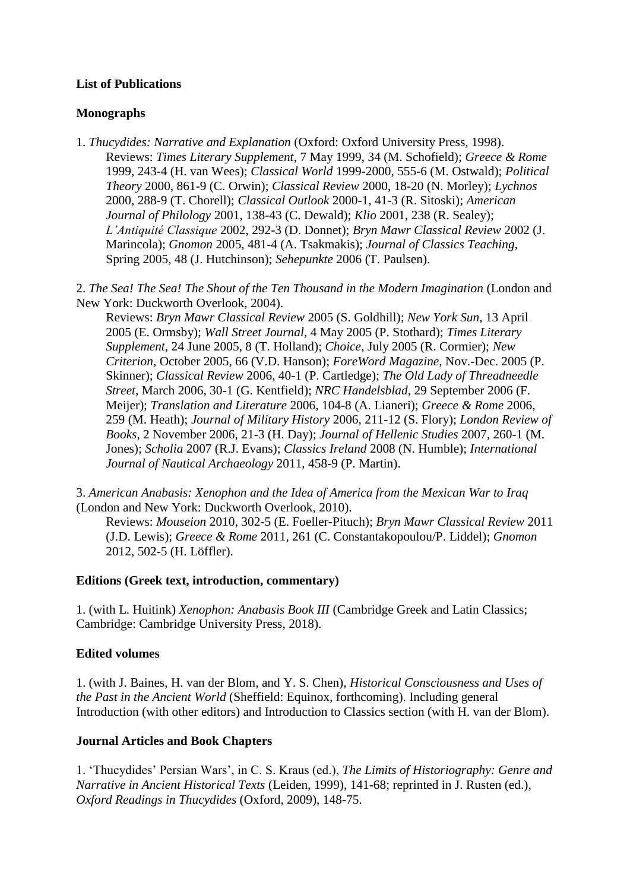# **List of Publications**

## **Monographs**

1. *Thucydides: Narrative and Explanation* (Oxford: Oxford University Press, 1998). Reviews: *Times Literary Supplement*, 7 May 1999, 34 (M. Schofield); *Greece & Rome* 1999, 243-4 (H. van Wees); *Classical World* 1999-2000, 555-6 (M. Ostwald); *Political Theory* 2000, 861-9 (C. Orwin); *Classical Review* 2000, 18-20 (N. Morley); *Lychnos*  2000, 288-9 (T. Chorell); *Classical Outlook* 2000-1, 41-3 (R. Sitoski); *American Journal of Philology* 2001, 138-43 (C. Dewald); *Klio* 2001, 238 (R. Sealey); *L'Antiquité Classique* 2002, 292-3 (D. Donnet); *Bryn Mawr Classical Review* 2002 (J. Marincola); *Gnomon* 2005, 481-4 (A. Tsakmakis); *Journal of Classics Teaching*, Spring 2005, 48 (J. Hutchinson); *Sehepunkte* 2006 (T. Paulsen).

2. *The Sea! The Sea! The Shout of the Ten Thousand in the Modern Imagination* (London and New York: Duckworth Overlook, 2004).

Reviews: *Bryn Mawr Classical Review* 2005 (S. Goldhill); *New York Sun*, 13 April 2005 (E. Ormsby); *Wall Street Journal*, 4 May 2005 (P. Stothard); *Times Literary Supplement*, 24 June 2005, 8 (T. Holland); *Choice*, July 2005 (R. Cormier); *New Criterion*, October 2005, 66 (V.D. Hanson); *ForeWord Magazine*, Nov.-Dec. 2005 (P. Skinner); *Classical Review* 2006, 40-1 (P. Cartledge); *The Old Lady of Threadneedle Street*, March 2006, 30-1 (G. Kentfield); *NRC Handelsblad*, 29 September 2006 (F. Meijer); *Translation and Literature* 2006, 104-8 (A. Lianeri); *Greece & Rome* 2006, 259 (M. Heath); *Journal of Military History* 2006, 211-12 (S. Flory); *London Review of Books*, 2 November 2006, 21-3 (H. Day); *Journal of Hellenic Studies* 2007, 260-1 (M. Jones); *Scholia* 2007 (R.J. Evans); *Classics Ireland* 2008 (N. Humble); *International Journal of Nautical Archaeology* 2011, 458-9 (P. Martin).

3. *American Anabasis: Xenophon and the Idea of America from the Mexican War to Iraq* (London and New York: Duckworth Overlook, 2010).

Reviews: *Mouseion* 2010, 302-5 (E. Foeller-Pituch); *Bryn Mawr Classical Review* 2011 (J.D. Lewis); *Greece & Rome* 2011, 261 (C. Constantakopoulou/P. Liddel); *Gnomon*  2012, 502-5 (H. Löffler).

#### **Editions (Greek text, introduction, commentary)**

1. (with L. Huitink) *Xenophon: Anabasis Book III* (Cambridge Greek and Latin Classics; Cambridge: Cambridge University Press, 2018).

#### **Edited volumes**

1. (with J. Baines, H. van der Blom, and Y. S. Chen), *Historical Consciousness and Uses of the Past in the Ancient World* (Sheffield: Equinox, forthcoming). Including general Introduction (with other editors) and Introduction to Classics section (with H. van der Blom).

#### **Journal Articles and Book Chapters**

1. 'Thucydides' Persian Wars', in C. S. Kraus (ed.), *The Limits of Historiography: Genre and Narrative in Ancient Historical Texts* (Leiden, 1999), 141-68; reprinted in J. Rusten (ed.), *Oxford Readings in Thucydides* (Oxford, 2009), 148-75.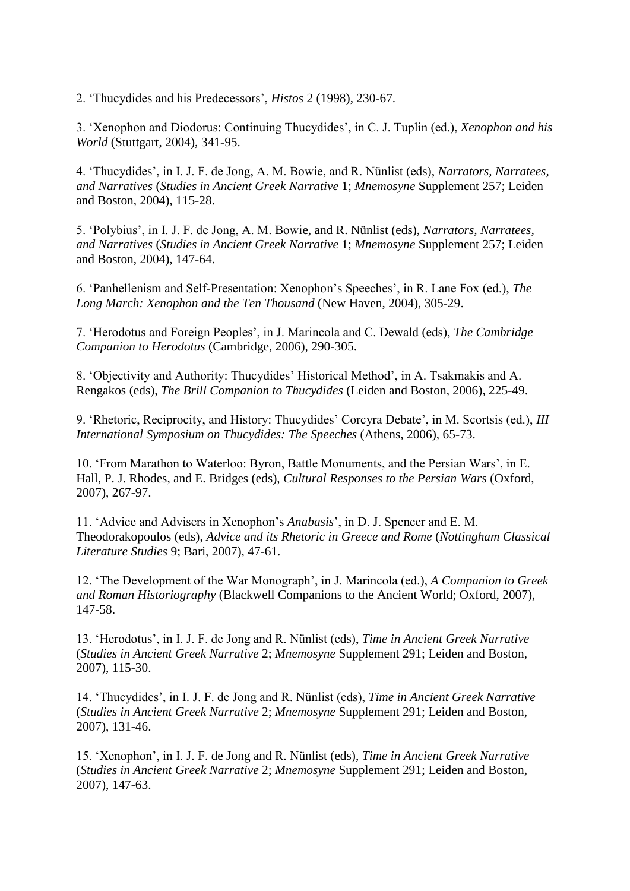2. 'Thucydides and his Predecessors', *Histos* 2 (1998), 230-67.

3. 'Xenophon and Diodorus: Continuing Thucydides', in C. J. Tuplin (ed.), *Xenophon and his World* (Stuttgart, 2004), 341-95.

4. 'Thucydides', in I. J. F. de Jong, A. M. Bowie, and R. Nünlist (eds), *Narrators, Narratees, and Narratives* (*Studies in Ancient Greek Narrative* 1; *Mnemosyne* Supplement 257; Leiden and Boston, 2004), 115-28.

5. 'Polybius', in I. J. F. de Jong, A. M. Bowie, and R. Nünlist (eds), *Narrators, Narratees, and Narratives* (*Studies in Ancient Greek Narrative* 1; *Mnemosyne* Supplement 257; Leiden and Boston, 2004), 147-64.

6. 'Panhellenism and Self-Presentation: Xenophon's Speeches', in R. Lane Fox (ed.), *The Long March: Xenophon and the Ten Thousand* (New Haven, 2004), 305-29.

7. 'Herodotus and Foreign Peoples', in J. Marincola and C. Dewald (eds), *The Cambridge Companion to Herodotus* (Cambridge, 2006), 290-305.

8. 'Objectivity and Authority: Thucydides' Historical Method', in A. Tsakmakis and A. Rengakos (eds), *The Brill Companion to Thucydides* (Leiden and Boston, 2006), 225-49.

9. 'Rhetoric, Reciprocity, and History: Thucydides' Corcyra Debate', in M. Scortsis (ed.), *III International Symposium on Thucydides: The Speeches* (Athens, 2006), 65-73.

10. 'From Marathon to Waterloo: Byron, Battle Monuments, and the Persian Wars', in E. Hall, P. J. Rhodes, and E. Bridges (eds), *Cultural Responses to the Persian Wars* (Oxford, 2007), 267-97.

11. 'Advice and Advisers in Xenophon's *Anabasis*', in D. J. Spencer and E. M. Theodorakopoulos (eds), *Advice and its Rhetoric in Greece and Rome* (*Nottingham Classical Literature Studies* 9; Bari, 2007), 47-61.

12. 'The Development of the War Monograph', in J. Marincola (ed.), *A Companion to Greek and Roman Historiography* (Blackwell Companions to the Ancient World; Oxford, 2007), 147-58.

13. 'Herodotus', in I. J. F. de Jong and R. Nünlist (eds), *Time in Ancient Greek Narrative* (*Studies in Ancient Greek Narrative* 2; *Mnemosyne* Supplement 291; Leiden and Boston, 2007), 115-30.

14. 'Thucydides', in I. J. F. de Jong and R. Nünlist (eds), *Time in Ancient Greek Narrative* (*Studies in Ancient Greek Narrative* 2; *Mnemosyne* Supplement 291; Leiden and Boston, 2007), 131-46.

15. 'Xenophon', in I. J. F. de Jong and R. Nünlist (eds), *Time in Ancient Greek Narrative* (*Studies in Ancient Greek Narrative* 2; *Mnemosyne* Supplement 291; Leiden and Boston, 2007), 147-63.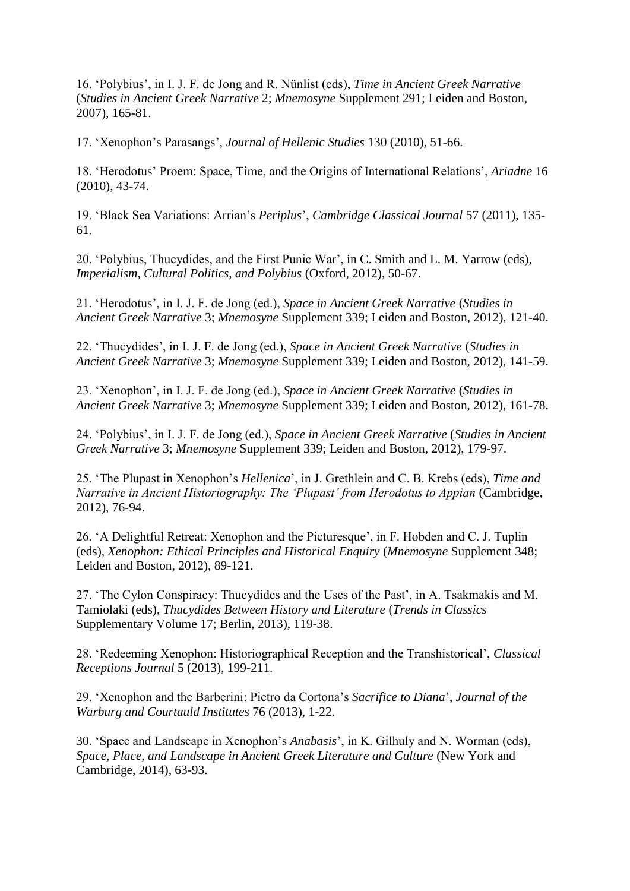16. 'Polybius', in I. J. F. de Jong and R. Nünlist (eds), *Time in Ancient Greek Narrative* (*Studies in Ancient Greek Narrative* 2; *Mnemosyne* Supplement 291; Leiden and Boston, 2007), 165-81.

17. 'Xenophon's Parasangs', *Journal of Hellenic Studies* 130 (2010), 51-66.

18. 'Herodotus' Proem: Space, Time, and the Origins of International Relations', *Ariadne* 16 (2010), 43-74.

19. 'Black Sea Variations: Arrian's *Periplus*', *Cambridge Classical Journal* 57 (2011), 135- 61.

20. 'Polybius, Thucydides, and the First Punic War', in C. Smith and L. M. Yarrow (eds), *Imperialism, Cultural Politics, and Polybius* (Oxford, 2012), 50-67.

21. 'Herodotus', in I. J. F. de Jong (ed.), *Space in Ancient Greek Narrative* (*Studies in Ancient Greek Narrative* 3; *Mnemosyne* Supplement 339; Leiden and Boston, 2012), 121-40.

22. 'Thucydides', in I. J. F. de Jong (ed.), *Space in Ancient Greek Narrative* (*Studies in Ancient Greek Narrative* 3; *Mnemosyne* Supplement 339; Leiden and Boston, 2012), 141-59.

23. 'Xenophon', in I. J. F. de Jong (ed.), *Space in Ancient Greek Narrative* (*Studies in Ancient Greek Narrative* 3; *Mnemosyne* Supplement 339; Leiden and Boston, 2012), 161-78.

24. 'Polybius', in I. J. F. de Jong (ed.), *Space in Ancient Greek Narrative* (*Studies in Ancient Greek Narrative* 3; *Mnemosyne* Supplement 339; Leiden and Boston, 2012), 179-97.

25. 'The Plupast in Xenophon's *Hellenica*', in J. Grethlein and C. B. Krebs (eds), *Time and Narrative in Ancient Historiography: The 'Plupast' from Herodotus to Appian (Cambridge, Narrative in Ancient Historiography: The 'Plupast' from Herodotus to Appian (Cambridge, Narrative in Ancient Historiography: Narrativ* 2012), 76-94.

26. 'A Delightful Retreat: Xenophon and the Picturesque', in F. Hobden and C. J. Tuplin (eds), *Xenophon: Ethical Principles and Historical Enquiry* (*Mnemosyne* Supplement 348; Leiden and Boston, 2012), 89-121.

27. 'The Cylon Conspiracy: Thucydides and the Uses of the Past', in A. Tsakmakis and M. Tamiolaki (eds), *Thucydides Between History and Literature* (*Trends in Classics*  Supplementary Volume 17; Berlin, 2013), 119-38.

28. 'Redeeming Xenophon: Historiographical Reception and the Transhistorical', *Classical Receptions Journal* 5 (2013), 199-211.

29. 'Xenophon and the Barberini: Pietro da Cortona's *Sacrifice to Diana*', *Journal of the Warburg and Courtauld Institutes* 76 (2013), 1-22.

30. 'Space and Landscape in Xenophon's *Anabasis*', in K. Gilhuly and N. Worman (eds), *Space, Place, and Landscape in Ancient Greek Literature and Culture* (New York and Cambridge, 2014), 63-93.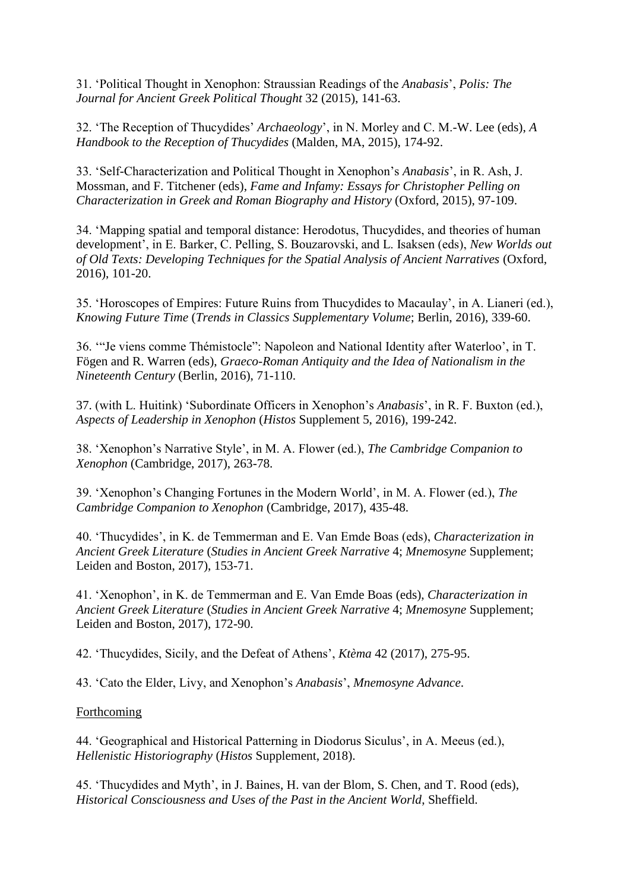31. 'Political Thought in Xenophon: Straussian Readings of the *Anabasis*', *Polis: The Journal for Ancient Greek Political Thought* 32 (2015), 141-63.

32. 'The Reception of Thucydides' *Archaeology*', in N. Morley and C. M.-W. Lee (eds), *A Handbook to the Reception of Thucydides* (Malden, MA, 2015), 174-92.

33. 'Self-Characterization and Political Thought in Xenophon's *Anabasis*', in R. Ash, J. Mossman, and F. Titchener (eds), *Fame and Infamy: Essays for Christopher Pelling on Characterization in Greek and Roman Biography and History* (Oxford, 2015), 97-109.

34. 'Mapping spatial and temporal distance: Herodotus, Thucydides, and theories of human development', in E. Barker, C. Pelling, S. Bouzarovski, and L. Isaksen (eds), *New Worlds out of Old Texts: Developing Techniques for the Spatial Analysis of Ancient Narratives* (Oxford, 2016), 101-20.

35. 'Horoscopes of Empires: Future Ruins from Thucydides to Macaulay', in A. Lianeri (ed.), *Knowing Future Time* (*Trends in Classics Supplementary Volume*; Berlin, 2016), 339-60.

36. '"Je viens comme Thémistocle": Napoleon and National Identity after Waterloo', in T. Fögen and R. Warren (eds), *Graeco-Roman Antiquity and the Idea of Nationalism in the Nineteenth Century* (Berlin, 2016), 71-110.

37. (with L. Huitink) 'Subordinate Officers in Xenophon's *Anabasis*', in R. F. Buxton (ed.), *Aspects of Leadership in Xenophon* (*Histos* Supplement 5, 2016), 199-242.

38. 'Xenophon's Narrative Style', in M. A. Flower (ed.), *The Cambridge Companion to Xenophon* (Cambridge, 2017), 263-78.

39. 'Xenophon's Changing Fortunes in the Modern World', in M. A. Flower (ed.), *The Cambridge Companion to Xenophon* (Cambridge, 2017), 435-48.

40. 'Thucydides', in K. de Temmerman and E. Van Emde Boas (eds), *Characterization in Ancient Greek Literature* (*Studies in Ancient Greek Narrative* 4; *Mnemosyne* Supplement; Leiden and Boston, 2017), 153-71.

41. 'Xenophon', in K. de Temmerman and E. Van Emde Boas (eds), *Characterization in Ancient Greek Literature* (*Studies in Ancient Greek Narrative* 4; *Mnemosyne* Supplement; Leiden and Boston, 2017), 172-90.

42. 'Thucydides, Sicily, and the Defeat of Athens', *Ktèma* 42 (2017), 275-95.

43. 'Cato the Elder, Livy, and Xenophon's *Anabasis*', *Mnemosyne Advance*.

#### **Forthcoming**

44. 'Geographical and Historical Patterning in Diodorus Siculus', in A. Meeus (ed.), *Hellenistic Historiography* (*Histos* Supplement, 2018).

45. 'Thucydides and Myth', in J. Baines, H. van der Blom, S. Chen, and T. Rood (eds), *Historical Consciousness and Uses of the Past in the Ancient World*, Sheffield.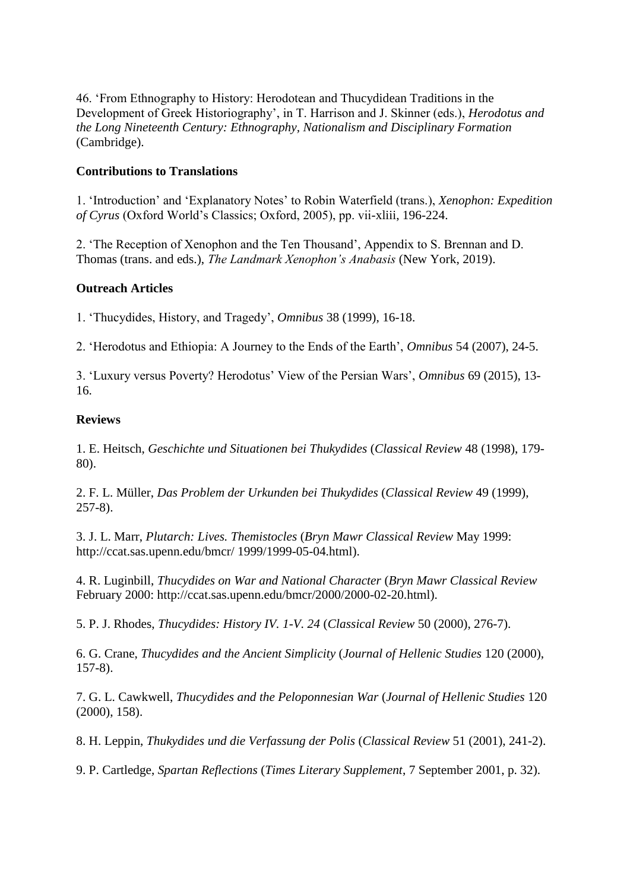46. 'From Ethnography to History: Herodotean and Thucydidean Traditions in the Development of Greek Historiography', in T. Harrison and J. Skinner (eds.), *Herodotus and the Long Nineteenth Century: Ethnography, Nationalism and Disciplinary Formation*  (Cambridge).

# **Contributions to Translations**

1. 'Introduction' and 'Explanatory Notes' to Robin Waterfield (trans.), *Xenophon: Expedition of Cyrus* (Oxford World's Classics; Oxford, 2005), pp. vii-xliii, 196-224.

2. 'The Reception of Xenophon and the Ten Thousand', Appendix to S. Brennan and D. Thomas (trans. and eds.), *The Landmark Xenophon's Anabasis* (New York, 2019).

## **Outreach Articles**

1. 'Thucydides, History, and Tragedy', *Omnibus* 38 (1999), 16-18.

2. 'Herodotus and Ethiopia: A Journey to the Ends of the Earth', *Omnibus* 54 (2007), 24-5.

3. 'Luxury versus Poverty? Herodotus' View of the Persian Wars', *Omnibus* 69 (2015), 13- 16.

## **Reviews**

1. E. Heitsch, *Geschichte und Situationen bei Thukydides* (*Classical Review* 48 (1998), 179- 80).

2. F. L. Müller, *Das Problem der Urkunden bei Thukydides* (*Classical Review* 49 (1999), 257-8).

3. J. L. Marr, *Plutarch: Lives. Themistocles* (*Bryn Mawr Classical Review* May 1999: http://ccat.sas.upenn.edu/bmcr/ 1999/1999-05-04.html).

4. R. Luginbill, *Thucydides on War and National Character* (*Bryn Mawr Classical Review* February 2000: http://ccat.sas.upenn.edu/bmcr/2000/2000-02-20.html).

5. P. J. Rhodes, *Thucydides: History IV. 1-V. 24* (*Classical Review* 50 (2000), 276-7).

6. G. Crane, *Thucydides and the Ancient Simplicity* (*Journal of Hellenic Studies* 120 (2000), 157-8).

7. G. L. Cawkwell, *Thucydides and the Peloponnesian War* (*Journal of Hellenic Studies* 120 (2000), 158).

8. H. Leppin, *Thukydides und die Verfassung der Polis* (*Classical Review* 51 (2001), 241-2).

9. P. Cartledge, *Spartan Reflections* (*Times Literary Supplement*, 7 September 2001, p. 32).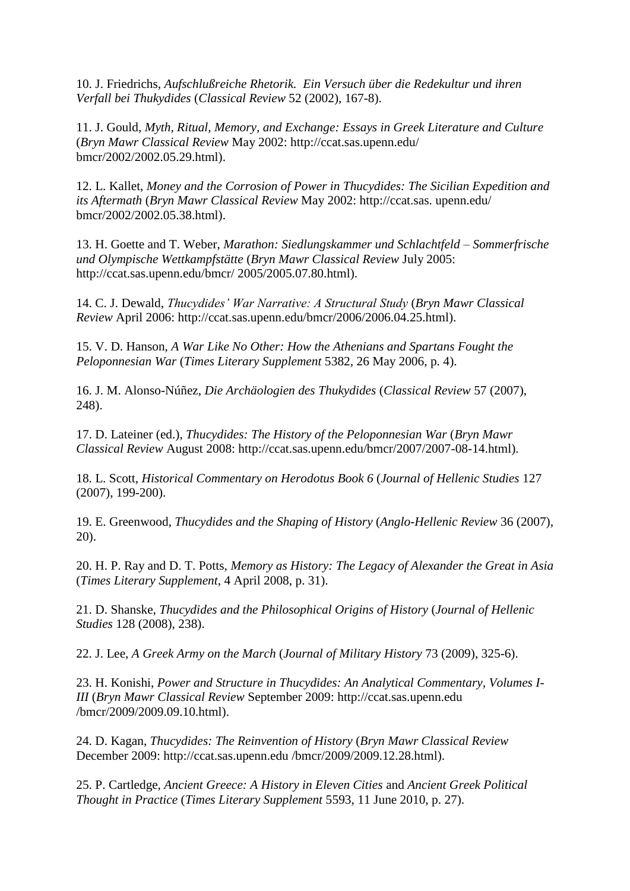10. J. Friedrichs, *Aufschlußreiche Rhetorik. Ein Versuch über die Redekultur und ihren Verfall bei Thukydides* (*Classical Review* 52 (2002), 167-8).

11. J. Gould, *Myth, Ritual, Memory, and Exchange: Essays in Greek Literature and Culture* (*Bryn Mawr Classical Review* May 2002: http://ccat.sas.upenn.edu/ bmcr/2002/2002.05.29.html).

12. L. Kallet, *Money and the Corrosion of Power in Thucydides: The Sicilian Expedition and its Aftermath* (*Bryn Mawr Classical Review* May 2002: http://ccat.sas. upenn.edu/ bmcr/2002/2002.05.38.html).

13. H. Goette and T. Weber, *Marathon: Siedlungskammer und Schlachtfeld – Sommerfrische und Olympische Wettkampfstätte* (*Bryn Mawr Classical Review* July 2005: http://ccat.sas.upenn.edu/bmcr/ 2005/2005.07.80.html).

14. C. J. Dewald, *Thucydides' War Narrative: A Structural Study* (*Bryn Mawr Classical Review* April 2006: http://ccat.sas.upenn.edu/bmcr/2006/2006.04.25.html).

15. V. D. Hanson, *A War Like No Other: How the Athenians and Spartans Fought the Peloponnesian War* (*Times Literary Supplement* 5382, 26 May 2006, p. 4).

16. J. M. Alonso-Núñez, *Die Archäologien des Thukydides* (*Classical Review* 57 (2007), 248).

17. D. Lateiner (ed.), *Thucydides: The History of the Peloponnesian War* (*Bryn Mawr Classical Review* August 2008: http://ccat.sas.upenn.edu/bmcr/2007/2007-08-14.html).

18. L. Scott, *Historical Commentary on Herodotus Book 6* (*Journal of Hellenic Studies* 127 (2007), 199-200).

19. E. Greenwood, *Thucydides and the Shaping of History* (*Anglo-Hellenic Review* 36 (2007), 20).

20. H. P. Ray and D. T. Potts, *Memory as History: The Legacy of Alexander the Great in Asia*  (*Times Literary Supplement*, 4 April 2008, p. 31).

21. D. Shanske, *Thucydides and the Philosophical Origins of History* (*Journal of Hellenic Studies* 128 (2008), 238).

22. J. Lee, *A Greek Army on the March* (*Journal of Military History* 73 (2009), 325-6).

23. H. Konishi, *Power and Structure in Thucydides: An Analytical Commentary, Volumes I-III* (*Bryn Mawr Classical Review* September 2009: http://ccat.sas.upenn.edu /bmcr/2009/2009.09.10.html).

24. D. Kagan, *Thucydides: The Reinvention of History* (*Bryn Mawr Classical Review*  December 2009: http://ccat.sas.upenn.edu /bmcr/2009/2009.12.28.html).

25. P. Cartledge, *Ancient Greece: A History in Eleven Cities* and *Ancient Greek Political Thought in Practice* (*Times Literary Supplement* 5593, 11 June 2010, p. 27).